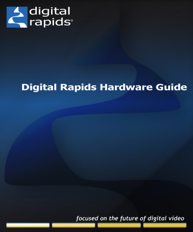

# **Digital Rapids Hardware Guide**

focused on the future of digital video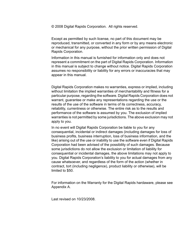© 2008 Digital Rapids Corporation. All rights reserved.

Except as permitted by such license, no part of this document may be reproduced, transmitted, or converted in any form or by any means electronic or mechanical for any purpose, without the prior written permission of Digital Rapids Corporation.

Information in this manual is furnished for information only and does not represent a commitment on the part of Digital Rapids Corporation. Information in this manual is subject to change without notice. Digital Rapids Corporation assumes no responsibility or liability for any errors or inaccuracies that may appear in this manual.

Digital Rapids Corporation makes no warranties, express or implied, including without limitation the implied warranties of merchantability and fitness for a particular purpose, regarding the software. Digital Rapids Corporation does not warrant, guarantee or make any representations regarding the use or the results of the use of the software in terms of its correctness, accuracy, reliability, currentness or otherwise. The entire risk as to the results and performance of the software is assumed by you. The exclusion of implied warranties is not permitted by some jurisdictions. The above exclusion may not apply to you.

In no event will Digital Rapids Corporation be liable to you for any consequential, incidental or indirect damages (including damages for loss of business profits, business interruption, loss of business information, and the like) arising out of the use or inability to use the software even if Digital Rapids Corporation had been advised of the possibility of such damages. Because some jurisdictions do not allow the exclusion or limitation of liability for consequential or incidental damages, the above limitations may not apply to you. Digital Rapids Corporation's liability to you for actual damages from any cause whatsoever, and regardless of the form of the action (whether in contract, tort (including negligence), product liability or otherwise), will be limited to \$50.

For information on the Warranty for the Digital Rapids hardaware, please see Appendix A.

Last revised on 10/23/2008.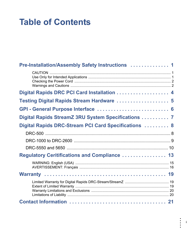# **Table of Contents**

| Pre-Installation/Assembly Safety Instructions  1     |
|------------------------------------------------------|
|                                                      |
| Digital Rapids DRC PCI Card Installation 4           |
| Testing Digital Rapids Stream Hardware  5            |
| GPI - General Purpose Interface  6                   |
| Digital Rapids StreamZ 3RU System Specifications 7   |
| Digital Rapids DRC-Stream PCI Card Specifications  8 |
|                                                      |
|                                                      |
|                                                      |
| Regulatory Ceritifications and Compliance  13        |
|                                                      |
|                                                      |
|                                                      |
|                                                      |

• • • • •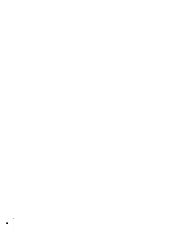$\begin{array}{c} \vdots \\ \vdots \\ \vdots \end{array}$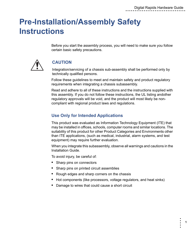# <span id="page-4-0"></span>**Pre-Installation/Assembly Safety Instructions**

Before you start the assembly process, you will need to make sure you follow certain basic safety precautions.



## <span id="page-4-1"></span>**CAUTION**

Integration/servicing of a chassis sub-assembly shall be performed only by technically qualified persons.

Follow these guidelines to meet and maintain safety and product regulatory requirements when integrating a chassis subassembly.

Read and adhere to all of these instructions and the instructions supplied with this assembly. If you do not follow these instructions, the UL listing andother regulatory approvals will be void, and the product will most likely be noncompliant with regional product laws and regulations.

### <span id="page-4-2"></span>**Use Only for Intended Applications**

This product was evaluated as Information Technology Equipment (ITE) that may be installed in offices, schools, computer rooms and similar locations. The suitability of this product for other Product Categories and Environments other than ITE applications, (such as medical, industrial, alarm systems, and test equipment) may require further evaluation.

When you integrate this subassembly, observe all warnings and cautions in the Installation Guide.

To avoid injury, be careful of:

- **•** Sharp pins on connectors
- **•** Sharp pins on printed circuit assemblies
- **•** Rough edges and sharp corners on the chassis
- **•** Hot components (like processors, voltage regulators, and heat sinks)
- **•** Damage to wires that could cause a short circuit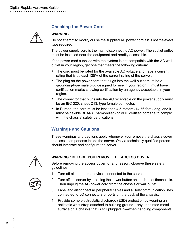## <span id="page-5-0"></span>**Checking the Power Cord**



#### **WARNING**

Do not attempt to modify or use the supplied AC power cord if it is not the exact type required.

The power supply cord is the main disconnect to AC power. The socket outlet must be installed near the equipment and readily accessible.

If the power cord supplied with the system is not compatible with the AC wall outlet in your region, get one that meets the following criteria:

- **•** The cord must be rated for the available AC voltage and have a current rating that is at least 125% of the current rating of the server.
- **•** The plug on the power cord that plugs into the wall outlet must be a grounding-type male plug designed for use in your region. It must have certification marks showing certification by an agency acceptable in your region.
- **•** The connector that plugs into the AC receptacle on the power supply must be an IEC 320, sheet C13, type female connector.
- **•** In Europe, the cord must be less than 4.5 meters (14.76 feet) long, and it must be flexible <HAR> (harmonized) or VDE certified cordage to comply with the chassis' safety certifications.

### <span id="page-5-1"></span>**Warnings and Cautions**

These warnings and cautions apply whenever you remove the chassis cover to access components inside the server. Only a technically qualified person should integrate and configure the server.



#### **WARNING / BEFORE YOU REMOVE THE ACCESS COVER**

Before removing the access cover for any reason, observe these safety guidelines:

1. Turn off all peripheral devices connected to the server.



- 2. Turn off the server by pressing the power button on the front of thechassis. Then unplug the AC power cord from the chassis or wall outlet.
- 3. Label and disconnect all peripheral cables and all telecommunication lines connected to I/O connectors or ports on the back of the chassis.
- 4. Provide some electrostatic discharge (ESD) protection by wearing an antistatic wrist strap attached to building ground—any unpainted metal surface on a chassis that is still plugged in—when handling components.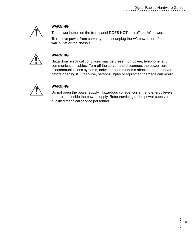

### **WARNING**

The power button on the front panel DOES NOT turn off the AC power.

To remove power from server, you must unplug the AC power cord from the wall outlet or the chassis.



### **WARNING**

Hazardous electrical conditions may be present on power, telephone, and communication cables. Turn off the server and disconnect the power cord, telecommunications systems, networks, and modems attached to the server before opening it. Otherwise, personal injury or equipment damage can result.



### **WARNING**

Do not open the power supply. Hazardous voltage, current and energy levels are present inside the power supply. Refer servicing of the power supply to qualified technical service personnel.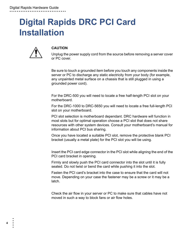# <span id="page-7-0"></span>**Digital Rapids DRC PCI Card Installation**



#### **CAUTION**

Unplug the power supply cord from the source before removing a server cover or PC cover.

Be sure to touch a grounded item before you touch any components inside the server or PC to discharge any static electricity from your body (for example, any unpainted metal surface on a chassis that is still plugged in using a grounded power cord).

For the DRC-500 you will need to locate a free half-length PCI slot on your motherboard.

For the DRC-1000 to DRC-5650 you will need to locate a free full-length PCI slot on your motherboard.

PCI slot selection is motherboard dependant. DRC hardware will function in most slots but for optimal operation choose a PCI slot that does not share resources with other system devices. Consult your motherboard's manual for information about PCI bus sharing.

Once you have located a suitable PCI slot, remove the protective blank PCI bracket (usually a metal plate) for the PCI slot you will be using.

Insert the PCI card edge connector in the PCI slot while aligning the end of the PCI card bracket in opening.

Firmly and slowly push the PCI card connector into the slot until it is fully seated. Do not twist or bend the card while pushing it into the slot.

Fasten the PCI card's bracket into the case to ensure that the card will not move. Depending on your case the fastener may be a screw or it may be a latch.

Check the air flow in your server or PC to make sure that cables have not moved in such a way to block fans or air flow holes.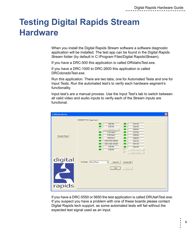# <span id="page-8-0"></span>**Testing Digital Rapids Stream Hardware**

When you install the Digital Rapids Stream software a software diagnostic application will be installed. The test app can be found in the Digital Rapids Stream folder (by default in C:\Program Files\Digital Rapids\Stream).

If you have a DRC-500 this application is called DRIdahoTest.exe.

If you have a DRC-1000 to DRC-2600 this application is called DRColoradoTest.exe.

Run this application. There are two tabs, one for Automated Tests and one for Input Tests. Run the automated test's to verify each hardware segment's functionality.

Input test's are a manual process. Use the Input Test's tab to switch between all valid video and audio inputs to verify each of the Stream inputs are functional.



If you have a DRC-5550 or 5650 the test application is called DRUtahTest.exe. If you suspect you have a problem with one of these boards please contact Digital Rapids tech support, as some automated tests will fail without the expected test signal used as an input.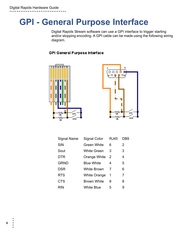• • • • • • • • • • • • • • • • • • • • • • • • • • • • • • •

# <span id="page-9-0"></span>**GPI - General Purpose Interface**

Digital Rapids Stream software can use a GPI interface to trigger starting and/or stopping encoding. A GPI cable can be made using the following wiring diagram.

#### GPI General Purpose Interface





| Signal Name | Signal Color        | <b>RJ45</b> | DB9 |
|-------------|---------------------|-------------|-----|
| <b>SIN</b>  | Green White         | 6           | 2   |
| Sout        | White Green         | 3           | 3   |
| DTR         | Orange White        | 2           | 4   |
| <b>GRND</b> | <b>Blue White</b>   | 4           | 5   |
| DSR         | White Brown         | 7           | 6   |
| <b>RTS</b>  | <b>White Orange</b> | 1           | 7   |
| <b>CTS</b>  | Brown White         | 8           | 8   |
| RIN         | White Blue          | 5           | 9   |

**6**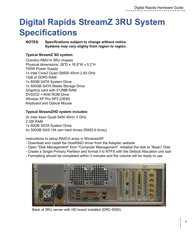# <span id="page-10-0"></span>**Digital Rapids StreamZ 3RU System Specifications**

**NOTES: Specifications subject to change without notice. Systems may vary slighly from region to region.**

### **Typical StreamZ SD system:**

Chenbro RM314 3RU chassis Physical dimensions: 26"D x 16.9"W x 5.2"H 700W Power Supply 1x Intel Core2 Quad Q9550 45nm 2.83 GHz 1GB of DDR3 RAM 1x 80GB SATA System Drive 1x 500GB SATA Media Storage Drive Graphics card with 512MB RAM DVD/CD +-R/W ROM Drive Window XP Pro SP3 (OEM) Keyboard and Optical Mouse

#### **Typical StreamZHD system includes:**

2x Intel Xeon Quad 5450 45nm 3 GHz 2 GB RAM 1x 80GB SATA System Drive 4x 300GB SAS 15k rpm hard drives (RAID-0 Array)

Instructions to setup RAID-0 array in WindowsXP:

- Download and install the HostRAID driver from the Adaptec website
- Open "Disk Management" from "Computer Management", initialize the disk to "Basic" Disk
- Create a Single Primary Partition and format it to NTFS with the Default Allocation unit size
- Formatting should be completed within 3 minutes and the volume will be ready to use



Back of 3RU server with HD board installed (DRC-5550)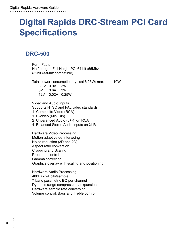# <span id="page-11-0"></span>**Digital Rapids DRC-Stream PCI Card Specifications**

# <span id="page-11-1"></span>**DRC-500**

Form Factor Half Length, Full Height PCI 64 bit /66Mhz (32bit /33Mhz compatible)

Total power consumption: typical 6.25W; maximum 10W

3.3V 0.9A 3W 5V 0.6A 3W 12V 0.02A 0.25W

Video and Audio Inputs

Supports NTSC and PAL video standards

- 1 Composite Video (RCA)
- 1 S-Video (Mini Din)
- 2 Unbalanced Audio (L+R) on RCA
- 4 Balanced Stereo Audio inputs on XLR

Hardware Video Processing Motion adaptive de-interlacing Noise reduction (3D and 2D) Aspect ratio conversion Cropping and Scaling Proc amp control Gamma correction Graphics overlay with scaling and positioning

Hardware Audio Processing 48kHz - 24 bits/sample 7-band parametric EQ per channel Dynamic range compression / expansion Hardware sample rate conversion Volume control; Bass and Treble control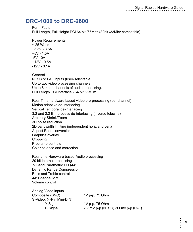# <span id="page-12-0"></span>**DRC-1000 to DRC-2600**

Form Factor Full Length, Full Height PCI 64 bit /66Mhz (32bit /33Mhz compatible)

Power Requirements  $\sim$  25 Watts +3.3V - 3.5A +5V - 1.5A -5V - 0A +12V - 0.5A -12V - 0.1A

General NTSC or PAL inputs (user-selectable) Up to two video processing channels Up to 8 mono channels of audio processing. Full Length PCI Interface - 64 bit 66MHz

Real-Time hardware based video pre-processing (per channel) Motion adaptive de-interlacing Vertical Temporal de-interlacing 3:2 and 2:2 film process de-interlacing (inverse telecine) Arbitrary Shrink/Zoom 3D noise reduction 2D bandwidth limiting (independent horiz and vert) Aspect Ratio conversion Graphics overlay **Cropping** Proc-amp controls Color balance and correction

Real-time Hardware based Audio processing 20 bit internal processing 7- Band Parametric EQ (4/8) Dynamic Range Compression Bass and Treble control 4/8 Channel Mix Volume control

Analog Video inputs Composite (BNC) 1V p-p, 75 Ohm S-Video: (4-Pin Mini-DIN) Y Signal 1V p-p, 75 Ohm C Signal 286mV p-p (NTSC) 300mv p-p (PAL)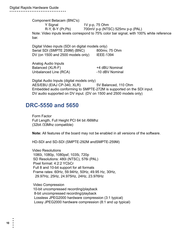Component Betacam (BNC's): Y Signal 1V p-p, 75 Ohm R-Y, B-Y (Pr,Pb) 700mV p-p (NTSC) 525mv p-p (PAL)

Note: Video inputs levels correspond to 75% color bar signal, with 100% white reference bar.

Digital Video inputs (SDI on digital models only) Serial SDI (SMPTE 259M) (BNC) 800mv, 75 Ohm DV (on 1500 and 2500 models only) IEEE-1394

| Analog Audio Inputs   |                 |
|-----------------------|-----------------|
| Balanced (XLR-F)      | +4 dBU Nominal  |
| Unbalanced Line (RCA) | -10 dBV Nominal |

Digital Audio Inputs (digital models only) AES/EBU (EIAJ CP-340, XLR) 5V Balanced, 110 Ohm Embedded audio conforming to SMPTE-272M is supported on the SDI input. DV audio supported on DV input. (DV on 1500 and 2500 models only)

## <span id="page-13-0"></span>**DRC-5550 and 5650**

Form Factor Full Length, Full Height PCI 64 bit /66Mhz (32bit /33Mhz compatible)

**Note:** All features of the board may not be enabled in all versions of the software.

HD-SDI and SD-SDI (SMPTE-292M andSMPTE-259M)

Video Resolutions 1080i, 1080p, 1080psf, 1035i, 720p SD Resolutions: 480i (NTSC), 576i (PAL) Pixel format: 4:2:2 YCbCr Full 8 and 10-bit support for all formats Frame rates: 60Hz, 59.94Hz, 50Hz, 49.95 Hz, 30Hz, 29.97Hz, 25Hz, 24.975Hz, 24Hz, 23.976Hz

 Video Compression 10-bit uncompressed recording/playback 8-bit uncompressed recording/playback Lossless JPEG2000 hardware compression (3:1 typical) Lossy JPEG2000 hardware compression (8:1 and up typical)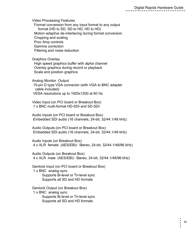Video Processing Features Format conversion from any input format to any output format (HD to SD, SD to HD, HD to HD) Motion adaptive de-interlacing during format conversion Cropping and scaling Proc Amp controls Gamma correction Filtering and noise reduction

Graphics Overlay

 High speed graphics buffer with alpha channel Overlay graphics during record or playback Scale and position graphics

Analog Monitor Output 15-pin D type VGA connector (with VGA to BNC adapter cable included) VESA resolutions up to 1920x1200 at 60 Hz

Video Input (on PCI board or Breakout Box) 1 x BNC multi-format HD-SDI and SD-SDI

Audio Inputs (on PCI board or Breakout Box) Embedded SDI audio (16 channels, 24-bit, 32/44.1/48 kHz)

Audio Outputs (on PCI board or Breakout Box) Embedded SDI audio (16 channels, 24-bit, 32/44.1/48 kHz)

Audio Inputs (on Breakout Box) 4 x XLR female (AES/EBU Stereo, 24-bit, 32/44.1/48/96 kHz)

Audio Outputs (on Breakout Box) 4 x XLR male (AES/EBU Stereo, 24-bit, 32/44.1/48/96 kHz)

Genlock Input (on PCI board or Breakout Box) 1 x BNC analog sync Supports Bi-level or Tri-level sync Supports all SD and HD formats

Genlock Output (on Breakout Box) 1 x BNC analog sync Supports Bi-level or Tri-level sync Supports all SD and HD formats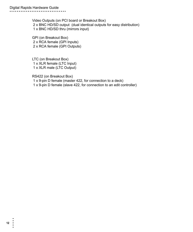Video Outputs (on PCI board or Breakout Box) 2 x BNC HD/SD output (dual identical outputs for easy distribution) 1 x BNC HD/SD thru (mirrors input)

GPI (on Breakout Box) 2 x RCA female (GPI Inputs) 2 x RCA female (GPI Outputs)

LTC (on Breakout Box) 1 x XLR female (LTC Input) 1 x XLR male (LTC Output)

RS422 (on Breakout Box) 1 x 9-pin D female (master 422, for connection to a deck) 1 x 9-pin D female (slave 422, for connection to an edit controller)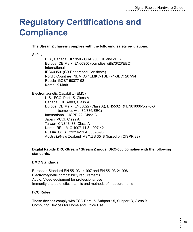# <span id="page-16-0"></span>**Regulatory Ceritifications and Compliance**

#### **The StreamZ chassis complies with the following safety regulations:**

#### Safety

U.S., Canada UL1950 - CSA 950 (UL and cUL) Europe, CE Mark EN60950 (complies with73/23/EEC) International IEC60950 (CB Report and Certificate) Nordic Countries NEMKO / EMKO-TSE (74-SEC) 207/94 Russia GOST 50377-92 Korea K-Mark

Electromagnetic Capability (EMC) U.S. FCC, Part 15, Class A Canada ICES-003, Class A Europe, CE Mark EN55022 (Class A); EN55024 & EN61000-3-2;-3-3 (complies with 89/336/EEC) International CISPR 22, Class A Japan VCCI, Class A Taiwan CNS13438, Class A Korea RRL, MIC 1997-41 & 1997-42 Russia GOST 29216-91 & 50628-95 Australia/New Zealand AS/NZS 3548 (based on CISPR 22)

#### **Digital Rapids DRC-Stream / Stream Z model DRC-500 complies with the following standards.**

#### **EMC Standards**

European Standard EN 55103-1:1997 and EN 55103-2:1996 Electromagnetic compatibility requirements Audio, Video equipment for professional use Immunity characteristics - Limits and methods of measurements

#### **FCC Rules**

These devices comply with FCC Part 15, Subpart 15, Subpart B, Class B Computing Devices for Home and Office Use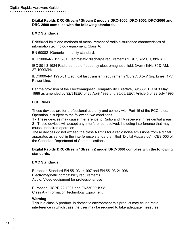#### **Digital Rapids DRC-Stream / Stream Z models DRC-1000, DRC-1500, DRC-2000 and DRC-2500 complies with the following standards.**

#### **EMC Standards**

EN55022Limits and methods of measurement of radio disturbance characteristics of information technology equipment, Class A.

EN 50082-1Generic immunity standard.

IEC 1000-4-2 1995-01 Electrostatic discharge requirements "ESD", 6kV CD, 8kV AD.

IEC 801-3 1984 Radiated. radio frequency electromagnetic field, 3V/m {1kHz 80% AM, 27-1000MHz}

IEC1000-4-4 1995-01 Electrical fast transient requirements "Burst", 0.5kV Sig. Lines, 1kV Power Line.

Per the provision of the Electromagnetic Compatibility Directive, 89/336/EEC of 3 May 1989 as amended by 92/31EEC of 28 April 1992 and 93/68/EEC, Article 5 of 22 July 1993

#### **FCC Rules**

These devices are for professional use only and comply with Part 15 of the FCC rules. Operation is subject to the following two conditions.

1 - These devices may cause interference to Radio and TV receivers in residential areas.

2 - These devices will accept any interference received, including interference that may cause undesired operation.

These devices do not exceed the class A limits for a radio noise emissions from a digital apparatus as set out in the interference standard entitled "Digital Apparatus", ICES-003 of the Canadian Department of Communications.

#### **Digital Rapids DRC-Stream / Stream Z model DRC-5000 complies with the following standards.**

#### **EMC Standards**

European Standard EN 55103-1:1997 and EN 55103-2:1996 Electromagnetic compatibility requirements Audio, Video equipment for professional use

European CISPR 22:1997 and EN55022:1998 Class A - Information Technology Equipment.

#### **Warning:**

This is a class A product. In domestic environment this product may cause radio interference in which case the user may be required to take adequate measures.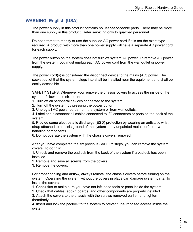### <span id="page-18-0"></span>**WARNING: English (USA)**

The power supply in this product contains no user-serviceable parts. There may be more than one supply in this product. Refer servicing only to qualified personnel.

Do not attempt to modify or use the supplied AC power cord if it is not the exact type required. A product with more than one power supply will have a separate AC power cord for each supply.

The power button on the system does not turn off system AC power. To remove AC power from the system, you must unplug each AC power cord from the wall outlet or power supply.

The power cord(s) is considered the disconnect device to the mains (AC) power. The socket outlet that the system plugs into shall be installed near the equipment and shall be easily accessible.

SAFETY STEPS: Whenever you remove the chassis covers to access the inside of the system, follow these six steps:

- 1. Turn off all peripheral devices connected to the system.
- 2. Turn off the system by pressing the power button.
- 3. Unplug all AC power cords from the system or from wall outlets.

4. Label and disconnect all cables connected to I/O connectors or ports on the back of the system.

5. Provide some electrostatic discharge (ESD) protection by wearing an antistatic wrist strap attached to chassis ground of the system—any unpainted metal surface—when handling components.

6. Do not operate the system with the chassis covers removed.

After you have completed the six previous SAFETY steps, you can remove the system covers. To do this:

1. Unlock and remove the padlock from the back of the system if a padlock has been installed.

- 2. Remove and save all screws from the covers.
- 3. Remove the covers.

For proper cooling and airflow, always reinstall the chassis covers before turning on the system. Operating the system without the covers in place can damage system parts. To install the covers:

- 1. Check first to make sure you have not left loose tools or parts inside the system.
- 2. Check that cables, add-in boards, and other components are properly installed.

3. Attach the covers to the chassis with the screws removed earlier, and tighten themfirmly.

4. Insert and lock the padlock to the system to prevent unauthorized access inside the system.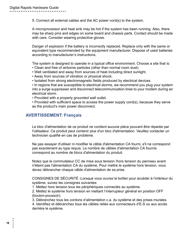5. Connect all external cables and the AC power cord(s) to the system.

A microprocessor and heat sink may be hot if the system has been running. Also, there may be sharp pins and edges on some board and chassis parts. Contact should be made with care. Consider wearing protective gloves.

Danger of explosion if the battery is incorrectly replaced. Replace only with the same or equivalent type recommended by the equipment manufacturer. Dispose of used batteries according to manufacturer's instructions.

The system is designed to operate in a typical office environment. Choose a site that is:

- Clean and free of airborne particles (other than normal room dust).
- Well ventilated and away from sources of heat including direct sunlight.
- Away from sources of vibration or physical shock.
- Isolated from strong electromagnetic fields produced by electrical devices.

• In regions that are susceptible to electrical storms, we recommend you plug your system into a surge suppresser and disconnect telecommunication lines to your modem during an electrical storm.

• Provided with a properly grounded wall outlet.

• Provided with sufficient space to access the power supply cord(s), because they serve as the product's main power disconnect.

#### <span id="page-19-0"></span>**AVERTISSEMENT: Français**

Le bloc d'alimentation de ce produit ne contient aucune pièce pouvant être réparée par l'utilisateur. Ce produit peut contenir plus d'un bloc d'alimentation. Veuillez contacter un technicien qualifié en cas de problème.

Ne pas essayer d'utiliser ni modifier le câble d'alimentation CA fourni, s'il ne correspond pas exactement au type requis. Le nombre de câbles d'alimentation CA fournis correspond au nombre de blocs d'alimentation du produit.

Notez que le commutateur CC de mise sous tension /hors tension du panneau avant n'éteint pas l'alimentation CA du système. Pour mettre le système hors tension, vous devez débrancher chaque câble d'alimentation de sa prise.

CONSIGNES DE SÉCURITÉ -Lorsque vous ouvrez le boîtier pour accéder à l'intérieur du système, suivez les consignes suivantes:

1. Mettez hors tension tous les périphériques connectés au système.

2. Mettez le système hors tension en mettant l'interrupteur général en position OFF (bouton-poussoir).

3. Débranchez tous les cordons d'alimentation c.a. du système et des prises murales. 4. Identifiez et débranchez tous les câbles reliés aux connecteurs d'E-S ou aux accès derrière le système.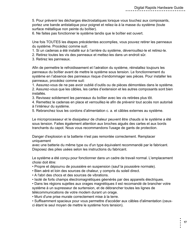5. Pour prévenir les décharges électrostatiques lorsque vous touchez aux composants, portez une bande antistatique pour poignet et reliez-la à la masse du système (toute surface métallique non peinte du boîtier).

6. Ne faites pas fonctionner le système tandis que le boîtier est ouvert.

Une fois TOUTES les étapes précédentes accomplies, vous pouvez retirer les panneaux du système. Procédez comme suit:

- 1. Si un cadenas a été installé sur à l'arrière du système, déverrouillez-le et retirez-le.
- 2. Retirez toutes les vis des panneaux et mettez-les dans un endroit sûr.
- 3. Retirez les panneaux.

Afin de permettre le refroidissement et l'aération du système, réinstallez toujours les panneaux du boîtier avant de mettre le système sous tension. Le fonctionnement du système en l'absence des panneaux risque d'endommager ses pièces. Pour installer les panneaux, procédez comme suit:

1. Assurez-vous de ne pas avoir oublié d'outils ou de pièces démontées dans le système. 2. Assurez-vous que les câbles, les cartes d'extension et les autres composants sont bien installés.

3. Revissez solidement les panneaux du boîtier avec les vis retirées plus tôt.

4. Remettez le cadenas en place et verrouillez-le afin de prévenir tout accès non autorisé à l'intérieur du système.

5. Rebranchez tous les cordons d'alimentation c. a. et câbles externes au système.

Le microprocesseur et le dissipateur de chaleur peuvent être chauds si le système a été sous tension. Faites également attention aux broches aiguës des cartes et aux bords tranchants du capot. Nous vous recommandons l'usage de gants de protection.

Danger d'explosion si la batterie n'est pas remontée correctement. Remplacer uniquement

avec une batterie du même type ou d'un type équivalent recommandé par le fabricant. Disposez des piles usées selon les instructions du fabricant.

Le système a été conçu pour fonctionner dans un cadre de travail normal. L'emplacement choisi doit être:

- Propre et dépourvu de poussière en suspension (sauf la poussière normale).
- Bien aéré et loin des sources de chaleur, y compris du soleil direct.
- A l'abri des chocs et des sources de vibrations.
- Isolé de forts champs électromagnétiques géenérés par des appareils électriques.
- Dans les régions sujettes aux orages magnétiques il est recomandé de brancher votre système à un supresseur de surtension, et de débrancher toutes les lignes de télécommunications de votre modem durant un orage.
- Muni d'une prise murale correctement mise à la terre.
- Suffisamment spacieux pour vous permettre d'accéder aux câbles d'alimentation (ceuxci étant le seul moyen de mettre le système hors tension).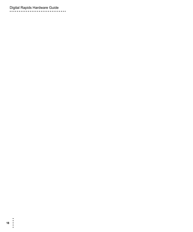Digital Rapids Hardware Guide

• • • • • • • • • • • • • • • • • • • • • • • • • • • • • • •

• • • • •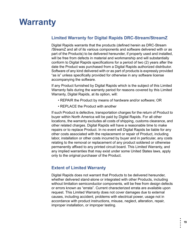# <span id="page-22-0"></span>**Warranty**

### <span id="page-22-1"></span>**Limited Warranty for Digital Rapids DRC-Stream/StreamZ**

Digital Rapids warrants that the products (defined herein as DRC-Stream /StreamZ and all of its various components and software delivered with or as part of the Products) to be delivered hereunder, if properly used and installed, will be free from defects in material and workmanship and will substantially conform to Digital Rapids specifications for a period of two (2) years after the date the Product was purchased from a Digital Rapids authorized distributor. Software of any kind delivered with or as part of products is expressly provided "as is" unless specifically provided for otherwise in any software license accompanying the software.

If any Product furnished by Digital Rapids which is the subject of this Limited Warranty fails during the warranty period for reasons covered by this Limited Warranty, Digital Rapids, at its option, will:

- REPAIR the Product by means of hardware and/or software; OR
- REPLACE the Product with another

If such Product is defective, transportation charges for the return of Product to buyer within North America will be paid by Digital Rapids. For all other locations, the warranty excludes all costs of shipping, customs clearance, and other related charges. Digital Rapids will have a reasonable time to make repairs or to replace Product. In no event will Digital Rapids be liable for any other costs associated with the replacement or repair of Product, including labor, installation or other costs incurred by buyer and in particular, any costs relating to the removal or replacement of any product soldered or otherwise permanently affixed to any printed circuit board. This Limited Warranty, and any implied warranties that may exist under some United States laws, apply only to the original purchaser of the Product.

### <span id="page-22-2"></span>**Extent of Limited Warranty**

Digital Rapids does not warrant that Products to be delivered hereunder, whether delivered stand-alone or integrated with other Products, including without limitation semiconductor components, will be free from design defects or errors known as "errata". Current characterized errata are available upon request. This Limited Warranty does not cover damages due to external causes, including accident, problems with electrical power, usage not in accordance with product instructions, misuse, neglect, alteration, repair, improper installation, or improper testing.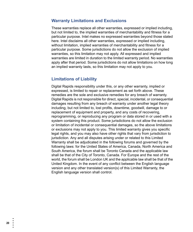#### <span id="page-23-0"></span>**Warranty Limitations and Exclusions**

These warranties replace all other warranties, expressed or implied including, but not limited to, the implied warranties of merchantability and fitness for a particular purpose. Intel makes no expressed warranties beyond those stated here. Intel disclaims all other warranties, expressed or implied including, without limitation, implied warranties of merchantability and fitness for a particular purpose. Some jurisdictions do not allow the exclusion of implied warranties, so this limitation may not apply. All expressed and implied warranties are limited in duration to the limited warranty period. No warranties apply after that period. Some jurisdictions do not allow limitations on how long an implied warranty lasts, so this limitation may not apply to you.

#### <span id="page-23-1"></span>**Limitations of Liability**

Digital Rapids responsibility under this, or any other warranty, implied or expressed, is limited to repair or replacement as set forth above. These remedies are the sole and exclusive remedies for any breach of warranty. Digital Rapids is not responsible for direct, special, incidental, or consequential damages resulting from any breach of warranty under another legal theory including, but not limited to, lost profits, downtime, goodwill, damage to or replacement of equipment and property, and any costs of recovering, reprogramming, or reproducing any program or data stored in or used with a system containing this product. Some jurisdictions do not allow the exclusion or limitation of incidental or consequential damages, so the above limitations or exclusions may not apply to you. This limited warranty gives you specific legal rights, and you may also have other rights that vary from jurisdiction to jurisdiction. Any and all disputes arising under or related to this Limited Warranty shall be adjudicated in the following forums and governed by the following laws: for the United States of America, Canada, North America and South America, the forum shall be Toronto Canada and the applicable law shall be that of the City of Toronto, Canada. For Europe and the rest of the world, the forum shall be London UK and the applicable law shall be that of the United Kingdom. In the event of any conflict between the English language version and any other translated version(s) of this Limited Warranty, the English language version shall control.